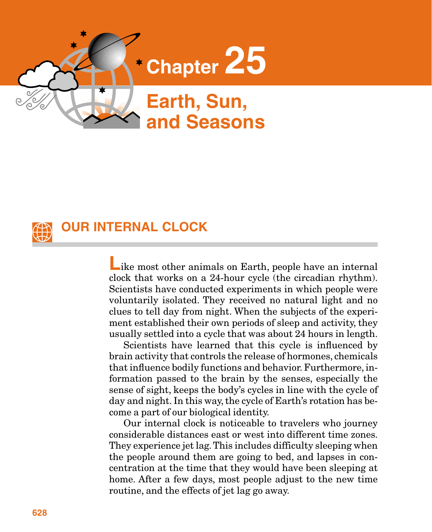

# **OUR INTERNAL CLOCK**

**L**ike most other animals on Earth, people have an internal clock that works on a 24-hour cycle (the circadian rhythm). Scientists have conducted experiments in which people were voluntarily isolated. They received no natural light and no clues to tell day from night. When the subjects of the experiment established their own periods of sleep and activity, they usually settled into a cycle that was about 24 hours in length.

Scientists have learned that this cycle is influenced by brain activity that controls the release of hormones, chemicals that influence bodily functions and behavior. Furthermore, information passed to the brain by the senses, especially the sense of sight, keeps the body's cycles in line with the cycle of day and night. In this way, the cycle of Earth's rotation has become a part of our biological identity.

Our internal clock is noticeable to travelers who journey considerable distances east or west into different time zones. They experience jet lag.This includes difficulty sleeping when the people around them are going to bed, and lapses in concentration at the time that they would have been sleeping at home. After a few days, most people adjust to the new time routine, and the effects of jet lag go away.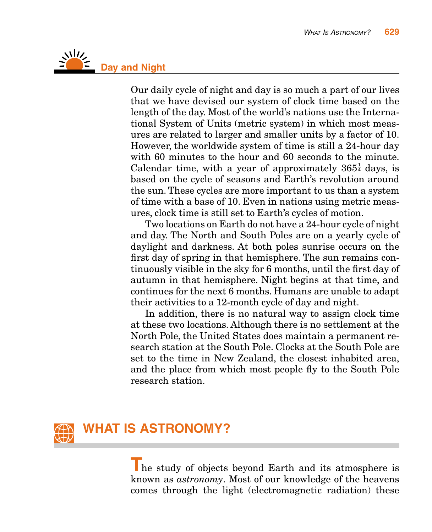

Our daily cycle of night and day is so much a part of our lives that we have devised our system of clock time based on the length of the day. Most of the world's nations use the International System of Units (metric system) in which most measures are related to larger and smaller units by a factor of 10. However, the worldwide system of time is still a 24-hour day with 60 minutes to the hour and 60 seconds to the minute. Calendar time, with a year of approximately  $365\frac{1}{4}$  days, is based on the cycle of seasons and Earth's revolution around the sun. These cycles are more important to us than a system of time with a base of 10. Even in nations using metric measures, clock time is still set to Earth's cycles of motion.

Two locations on Earth do not have a 24-hour cycle of night and day. The North and South Poles are on a yearly cycle of daylight and darkness. At both poles sunrise occurs on the first day of spring in that hemisphere. The sun remains continuously visible in the sky for 6 months, until the first day of autumn in that hemisphere. Night begins at that time, and continues for the next 6 months. Humans are unable to adapt their activities to a 12-month cycle of day and night.

In addition, there is no natural way to assign clock time at these two locations. Although there is no settlement at the North Pole, the United States does maintain a permanent research station at the South Pole. Clocks at the South Pole are set to the time in New Zealand, the closest inhabited area, and the place from which most people fly to the South Pole research station.



**T**he study of objects beyond Earth and its atmosphere is known as *astronomy*. Most of our knowledge of the heavens comes through the light (electromagnetic radiation) these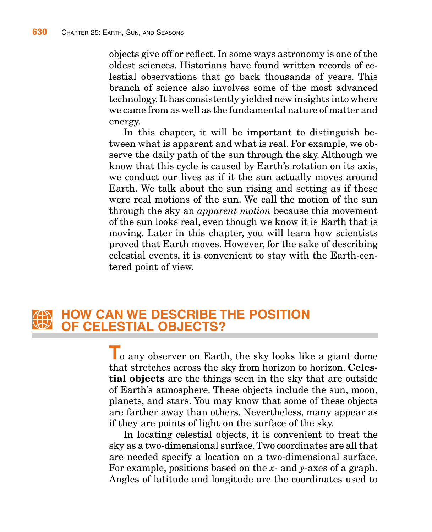objects give off or reflect. In some ways astronomy is one of the oldest sciences. Historians have found written records of celestial observations that go back thousands of years. This branch of science also involves some of the most advanced technology. It has consistently yielded new insights into where we came from as well as the fundamental nature of matter and energy.

In this chapter, it will be important to distinguish between what is apparent and what is real. For example, we observe the daily path of the sun through the sky. Although we know that this cycle is caused by Earth's rotation on its axis, we conduct our lives as if it the sun actually moves around Earth. We talk about the sun rising and setting as if these were real motions of the sun. We call the motion of the sun through the sky an *apparent motion* because this movement of the sun looks real, even though we know it is Earth that is moving. Later in this chapter, you will learn how scientists proved that Earth moves. However, for the sake of describing celestial events, it is convenient to stay with the Earth-centered point of view.

## **HOW CAN WE DESCRIBE THE POSITION OF CELESTIAL OBJECTS?**

**T**o any observer on Earth, the sky looks like a giant dome that stretches across the sky from horizon to horizon. **Celestial objects** are the things seen in the sky that are outside of Earth's atmosphere. These objects include the sun, moon, planets, and stars. You may know that some of these objects are farther away than others. Nevertheless, many appear as if they are points of light on the surface of the sky.

In locating celestial objects, it is convenient to treat the sky as a two-dimensional surface.Two coordinates are all that are needed specify a location on a two-dimensional surface. For example, positions based on the *x*- and *y*-axes of a graph. Angles of latitude and longitude are the coordinates used to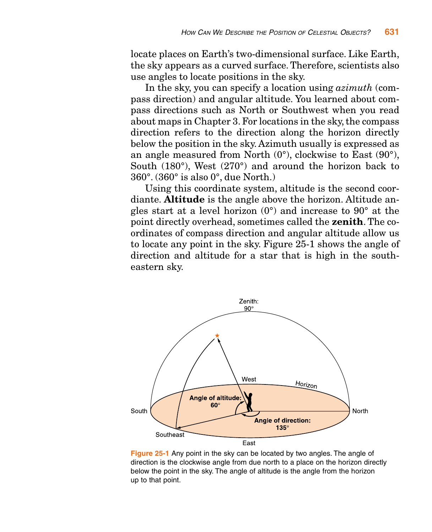locate places on Earth's two-dimensional surface. Like Earth, the sky appears as a curved surface. Therefore, scientists also use angles to locate positions in the sky.

In the sky, you can specify a location using *azimuth* (compass direction) and angular altitude. You learned about compass directions such as North or Southwest when you read about maps in Chapter 3. For locations in the sky, the compass direction refers to the direction along the horizon directly below the position in the sky. Azimuth usually is expressed as an angle measured from North  $(0^{\circ})$ , clockwise to East  $(90^{\circ})$ , South (180°), West (270°) and around the horizon back to 360°. (360° is also 0°, due North.)

Using this coordinate system, altitude is the second coordiante. **Altitude** is the angle above the horizon. Altitude angles start at a level horizon  $(0^{\circ})$  and increase to  $90^{\circ}$  at the point directly overhead, sometimes called the **zenith**. The coordinates of compass direction and angular altitude allow us to locate any point in the sky. Figure 25-1 shows the angle of direction and altitude for a star that is high in the southeastern sky.



**Figure 25-1** Any point in the sky can be located by two angles. The angle of direction is the clockwise angle from due north to a place on the horizon directly below the point in the sky. The angle of altitude is the angle from the horizon up to that point.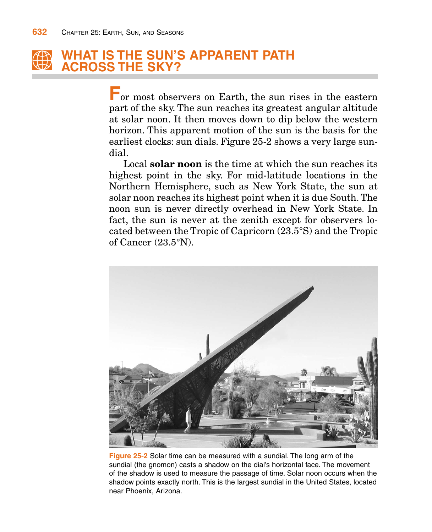## **WHAT IS THE SUN'S APPARENT PATH ACROSS THE SKY?**

**F**or most observers on Earth, the sun rises in the eastern part of the sky. The sun reaches its greatest angular altitude at solar noon. It then moves down to dip below the western horizon. This apparent motion of the sun is the basis for the earliest clocks: sun dials. Figure 25-2 shows a very large sundial.

Local **solar noon** is the time at which the sun reaches its highest point in the sky. For mid-latitude locations in the Northern Hemisphere, such as New York State, the sun at solar noon reaches its highest point when it is due South. The noon sun is never directly overhead in New York State. In fact, the sun is never at the zenith except for observers located between the Tropic of Capricorn (23.5°S) and the Tropic of Cancer (23.5°N).



**Figure 25-2** Solar time can be measured with a sundial. The long arm of the sundial (the gnomon) casts a shadow on the dial's horizontal face. The movement of the shadow is used to measure the passage of time. Solar noon occurs when the shadow points exactly north. This is the largest sundial in the United States, located near Phoenix, Arizona.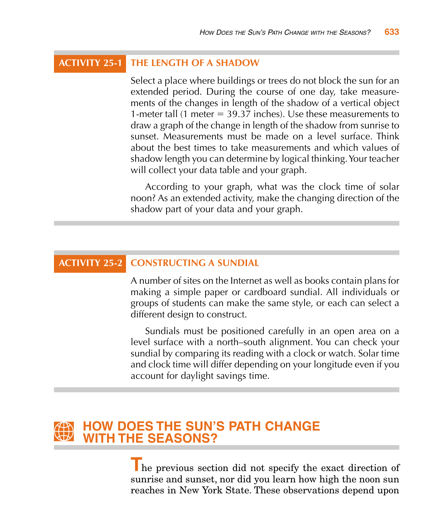### **ACTIVITY 25-1 THE LENGTH OF A SHADOW**

Select a place where buildings or trees do not block the sun for an extended period. During the course of one day, take measurements of the changes in length of the shadow of a vertical object 1-meter tall  $(1$  meter = 39.37 inches). Use these measurements to draw a graph of the change in length of the shadow from sunrise to sunset. Measurements must be made on a level surface. Think about the best times to take measurements and which values of shadow length you can determine by logical thinking. Your teacher will collect your data table and your graph.

According to your graph, what was the clock time of solar noon? As an extended activity, make the changing direction of the shadow part of your data and your graph.

#### **ACTIVITY 25-2 CONSTRUCTING A SUNDIAL**

A number of sites on the Internet as well as books contain plans for making a simple paper or cardboard sundial. All individuals or groups of students can make the same style, or each can select a different design to construct.

Sundials must be positioned carefully in an open area on a level surface with a north–south alignment. You can check your sundial by comparing its reading with a clock or watch. Solar time and clock time will differ depending on your longitude even if you account for daylight savings time.

## **HOW DOES THE SUN'S PATH CHANGE WITH THE SEASONS?**

**T**he previous section did not specify the exact direction of sunrise and sunset, nor did you learn how high the noon sun reaches in New York State. These observations depend upon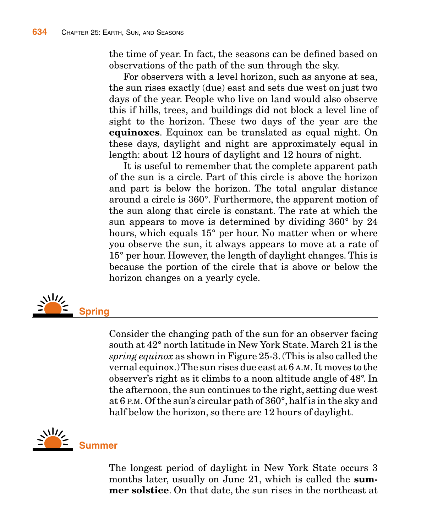the time of year. In fact, the seasons can be defined based on observations of the path of the sun through the sky.

For observers with a level horizon, such as anyone at sea, the sun rises exactly (due) east and sets due west on just two days of the year. People who live on land would also observe this if hills, trees, and buildings did not block a level line of sight to the horizon. These two days of the year are the **equinoxes**. Equinox can be translated as equal night. On these days, daylight and night are approximately equal in length: about 12 hours of daylight and 12 hours of night.

It is useful to remember that the complete apparent path of the sun is a circle. Part of this circle is above the horizon and part is below the horizon. The total angular distance around a circle is 360°. Furthermore, the apparent motion of the sun along that circle is constant. The rate at which the sun appears to move is determined by dividing 360° by 24 hours, which equals 15° per hour. No matter when or where you observe the sun, it always appears to move at a rate of 15° per hour. However, the length of daylight changes. This is because the portion of the circle that is above or below the horizon changes on a yearly cycle.



Consider the changing path of the sun for an observer facing south at 42° north latitude in New York State. March 21 is the *spring equinox* as shown in Figure 25-3. (This is also called the vernal equinox.) The sun rises due east at 6 A.M. It moves to the observer's right as it climbs to a noon altitude angle of 48°. In the afternoon, the sun continues to the right, setting due west at 6 P.M. Of the sun's circular path of 360°, half is in the sky and half below the horizon, so there are 12 hours of daylight.



The longest period of daylight in New York State occurs 3 months later, usually on June 21, which is called the **summer solstice**. On that date, the sun rises in the northeast at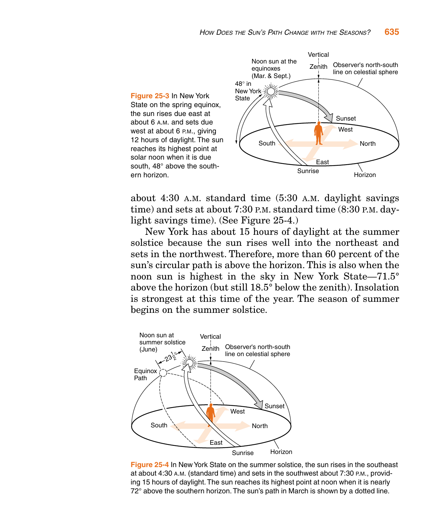

about 4:30 A.M. standard time (5:30 A.M. daylight savings time) and sets at about 7:30 P.M. standard time (8:30 P.M. daylight savings time). (See Figure 25-4.)

New York has about 15 hours of daylight at the summer solstice because the sun rises well into the northeast and sets in the northwest. Therefore, more than 60 percent of the sun's circular path is above the horizon. This is also when the noon sun is highest in the sky in New York State—71.5° above the horizon (but still 18.5° below the zenith). Insolation is strongest at this time of the year. The season of summer begins on the summer solstice.



**Figure 25-4** In New York State on the summer solstice, the sun rises in the southeast at about 4:30 A.M. (standard time) and sets in the southwest about 7:30 P.M., providing 15 hours of daylight. The sun reaches its highest point at noon when it is nearly  $72^{\circ}$  above the southern horizon. The sun's path in March is shown by a dotted line.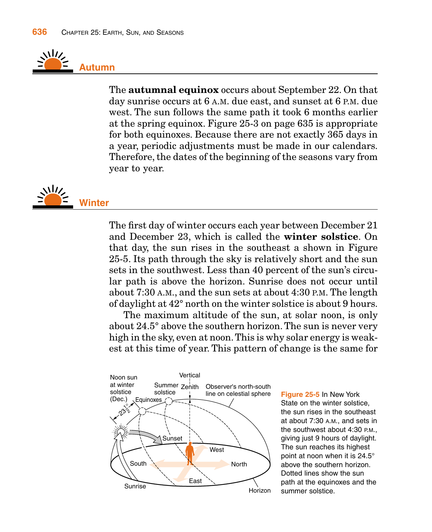

The **autumnal equinox** occurs about September 22. On that day sunrise occurs at 6 A.M. due east, and sunset at 6 P.M. due west. The sun follows the same path it took 6 months earlier at the spring equinox. Figure 25-3 on page 635 is appropriate for both equinoxes. Because there are not exactly 365 days in a year, periodic adjustments must be made in our calendars. Therefore, the dates of the beginning of the seasons vary from year to year.



The first day of winter occurs each year between December 21 and December 23, which is called the **winter solstice**. On that day, the sun rises in the southeast a shown in Figure 25-5. Its path through the sky is relatively short and the sun sets in the southwest. Less than 40 percent of the sun's circular path is above the horizon. Sunrise does not occur until about 7:30 A.M., and the sun sets at about 4:30 P.M. The length of daylight at 42° north on the winter solstice is about 9 hours.

The maximum altitude of the sun, at solar noon, is only about 24.5° above the southern horizon. The sun is never very high in the sky, even at noon.This is why solar energy is weakest at this time of year. This pattern of change is the same for



**Figure 25-5** In New York State on the winter solstice, the sun rises in the southeast at about 7:30 A.M., and sets in the southwest about 4:30 P.M., giving just 9 hours of daylight. The sun reaches its highest point at noon when it is 24.5° above the southern horizon. Dotted lines show the sun path at the equinoxes and the summer solstice.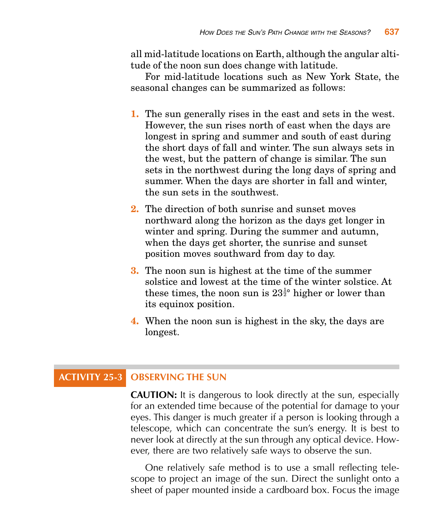all mid-latitude locations on Earth, although the angular altitude of the noon sun does change with latitude.

For mid-latitude locations such as New York State, the seasonal changes can be summarized as follows:

- **1.** The sun generally rises in the east and sets in the west. However, the sun rises north of east when the days are longest in spring and summer and south of east during the short days of fall and winter. The sun always sets in the west, but the pattern of change is similar. The sun sets in the northwest during the long days of spring and summer. When the days are shorter in fall and winter, the sun sets in the southwest.
- **2.** The direction of both sunrise and sunset moves northward along the horizon as the days get longer in winter and spring. During the summer and autumn, when the days get shorter, the sunrise and sunset position moves southward from day to day.
- **3.** The noon sun is highest at the time of the summer solstice and lowest at the time of the winter solstice. At these times, the noon sun is  $23^{\frac{1}{2}^{\circ}}$  higher or lower than its equinox position.
- **4.** When the noon sun is highest in the sky, the days are longest.

#### **ACTIVITY 25-3 OBSERVING THE SUN**

**CAUTION:** It is dangerous to look directly at the sun, especially for an extended time because of the potential for damage to your eyes. This danger is much greater if a person is looking through a telescope, which can concentrate the sun's energy. It is best to never look at directly at the sun through any optical device. However, there are two relatively safe ways to observe the sun.

One relatively safe method is to use a small reflecting telescope to project an image of the sun. Direct the sunlight onto a sheet of paper mounted inside a cardboard box. Focus the image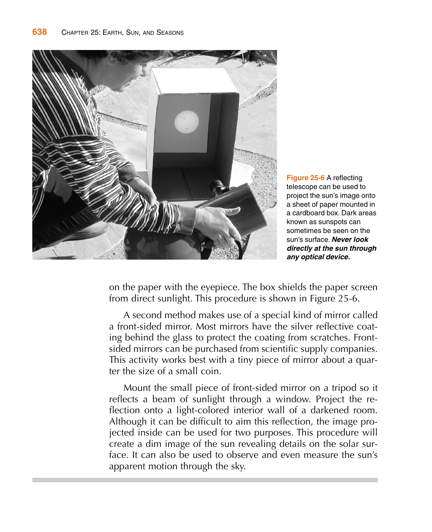

**Figure 25-6** A reflecting telescope can be used to project the sun's image onto a sheet of paper mounted in a cardboard box. Dark areas known as sunspots can sometimes be seen on the sun's surface. *Never look directly at the sun through any optical device.*

on the paper with the eyepiece. The box shields the paper screen from direct sunlight. This procedure is shown in Figure 25-6.

A second method makes use of a special kind of mirror called a front-sided mirror. Most mirrors have the silver reflective coating behind the glass to protect the coating from scratches. Frontsided mirrors can be purchased from scientific supply companies. This activity works best with a tiny piece of mirror about a quarter the size of a small coin.

Mount the small piece of front-sided mirror on a tripod so it reflects a beam of sunlight through a window. Project the reflection onto a light-colored interior wall of a darkened room. Although it can be difficult to aim this reflection, the image projected inside can be used for two purposes. This procedure will create a dim image of the sun revealing details on the solar surface. It can also be used to observe and even measure the sun's apparent motion through the sky.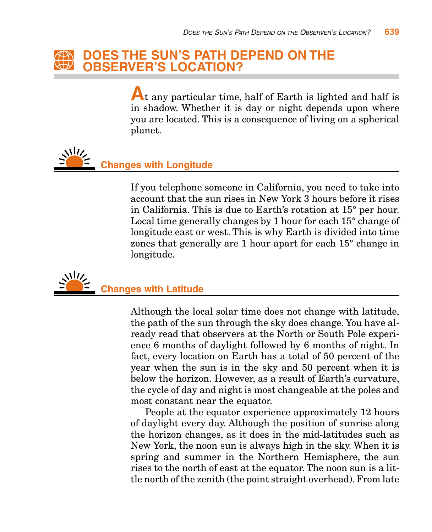## **DOES THE SUN'S PATH DEPEND ON THE OBSERVER'S LOCATION?**

At any particular time, half of Earth is lighted and half is in shadow. Whether it is day or night depends upon where you are located. This is a consequence of living on a spherical planet.



If you telephone someone in California, you need to take into account that the sun rises in New York 3 hours before it rises in California. This is due to Earth's rotation at 15° per hour. Local time generally changes by 1 hour for each 15° change of longitude east or west. This is why Earth is divided into time zones that generally are 1 hour apart for each 15° change in longitude.



Although the local solar time does not change with latitude, the path of the sun through the sky does change. You have already read that observers at the North or South Pole experience 6 months of daylight followed by 6 months of night. In fact, every location on Earth has a total of 50 percent of the year when the sun is in the sky and 50 percent when it is below the horizon. However, as a result of Earth's curvature, the cycle of day and night is most changeable at the poles and most constant near the equator.

People at the equator experience approximately 12 hours of daylight every day. Although the position of sunrise along the horizon changes, as it does in the mid-latitudes such as New York, the noon sun is always high in the sky. When it is spring and summer in the Northern Hemisphere, the sun rises to the north of east at the equator. The noon sun is a little north of the zenith (the point straight overhead). From late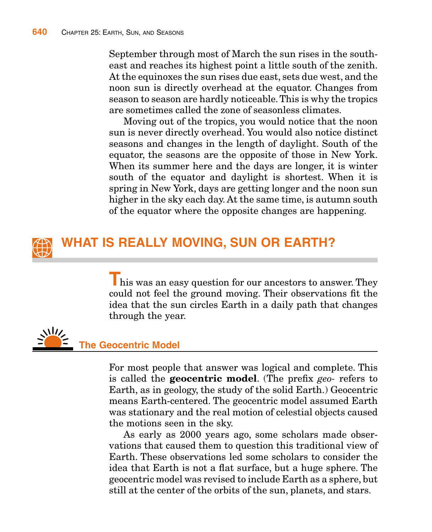September through most of March the sun rises in the southeast and reaches its highest point a little south of the zenith. At the equinoxes the sun rises due east, sets due west, and the noon sun is directly overhead at the equator. Changes from season to season are hardly noticeable. This is why the tropics are sometimes called the zone of seasonless climates.

Moving out of the tropics, you would notice that the noon sun is never directly overhead. You would also notice distinct seasons and changes in the length of daylight. South of the equator, the seasons are the opposite of those in New York. When its summer here and the days are longer, it is winter south of the equator and daylight is shortest. When it is spring in New York, days are getting longer and the noon sun higher in the sky each day. At the same time, is autumn south of the equator where the opposite changes are happening.



**T**his was an easy question for our ancestors to answer. They could not feel the ground moving. Their observations fit the idea that the sun circles Earth in a daily path that changes through the year.



For most people that answer was logical and complete. This is called the **geocentric model**. (The prefix *geo-* refers to Earth, as in geology, the study of the solid Earth.) Geocentric means Earth-centered. The geocentric model assumed Earth was stationary and the real motion of celestial objects caused the motions seen in the sky.

As early as 2000 years ago, some scholars made observations that caused them to question this traditional view of Earth. These observations led some scholars to consider the idea that Earth is not a flat surface, but a huge sphere. The geocentric model was revised to include Earth as a sphere, but still at the center of the orbits of the sun, planets, and stars.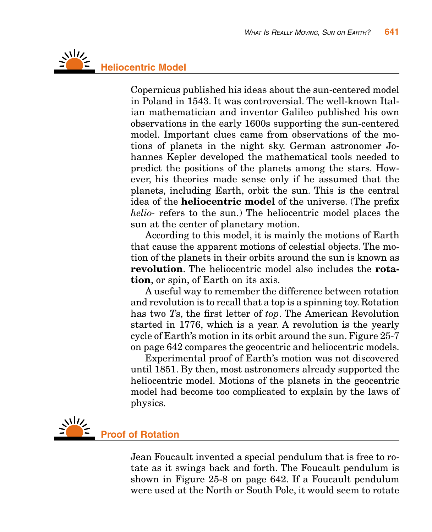

Copernicus published his ideas about the sun-centered model in Poland in 1543. It was controversial. The well-known Italian mathematician and inventor Galileo published his own observations in the early 1600s supporting the sun-centered model. Important clues came from observations of the motions of planets in the night sky. German astronomer Johannes Kepler developed the mathematical tools needed to predict the positions of the planets among the stars. However, his theories made sense only if he assumed that the planets, including Earth, orbit the sun. This is the central idea of the **heliocentric model** of the universe. (The prefix *helio-* refers to the sun.) The heliocentric model places the sun at the center of planetary motion.

According to this model, it is mainly the motions of Earth that cause the apparent motions of celestial objects. The motion of the planets in their orbits around the sun is known as **revolution**. The heliocentric model also includes the **rotation**, or spin, of Earth on its axis.

A useful way to remember the difference between rotation and revolution is to recall that a top is a spinning toy. Rotation has two *T*s, the first letter of *top*. The American Revolution started in 1776, which is a year. A revolution is the yearly cycle of Earth's motion in its orbit around the sun. Figure 25-7 on page 642 compares the geocentric and heliocentric models.

Experimental proof of Earth's motion was not discovered until 1851. By then, most astronomers already supported the heliocentric model. Motions of the planets in the geocentric model had become too complicated to explain by the laws of physics.



Jean Foucault invented a special pendulum that is free to rotate as it swings back and forth. The Foucault pendulum is shown in Figure 25-8 on page 642. If a Foucault pendulum were used at the North or South Pole, it would seem to rotate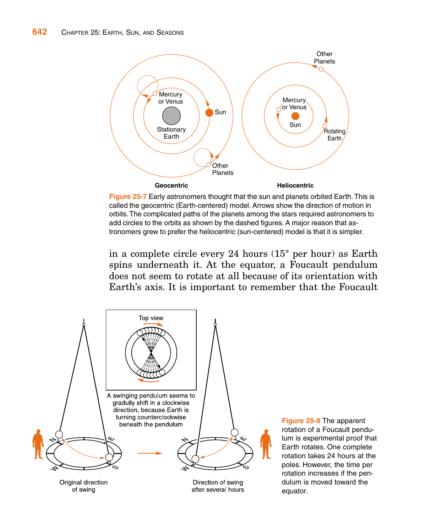

**Figure 25-7** Early astronomers thought that the sun and planets orbited Earth.This is called the geocentric (Earth-centered) model. Arrows show the direction of motion in orbits.The complicated paths of the planets among the stars required astronomers to add circles to the orbits as shown by the dashed figures. A major reason that astronomers grew to prefer the heliocentric (sun-centered) model is that it is simpler.

in a complete circle every 24 hours (15° per hour) as Earth spins underneath it. At the equator, a Foucault pendulum does not seem to rotate at all because of its orientation with Earth's axis. It is important to remember that the Foucault

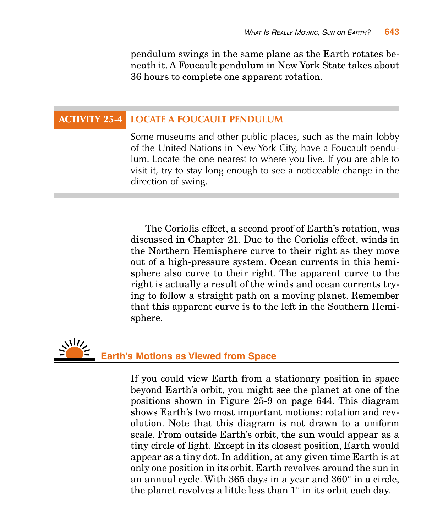pendulum swings in the same plane as the Earth rotates beneath it. A Foucault pendulum in New York State takes about 36 hours to complete one apparent rotation.

### **ACTIVITY 25-4 LOCATE A FOUCAULT PENDULUM**

Some museums and other public places, such as the main lobby of the United Nations in New York City, have a Foucault pendulum. Locate the one nearest to where you live. If you are able to visit it, try to stay long enough to see a noticeable change in the direction of swing.

The Coriolis effect, a second proof of Earth's rotation, was discussed in Chapter 21. Due to the Coriolis effect, winds in the Northern Hemisphere curve to their right as they move out of a high-pressure system. Ocean currents in this hemisphere also curve to their right. The apparent curve to the right is actually a result of the winds and ocean currents trying to follow a straight path on a moving planet. Remember that this apparent curve is to the left in the Southern Hemisphere.



If you could view Earth from a stationary position in space beyond Earth's orbit, you might see the planet at one of the positions shown in Figure 25-9 on page 644. This diagram shows Earth's two most important motions: rotation and revolution. Note that this diagram is not drawn to a uniform scale. From outside Earth's orbit, the sun would appear as a tiny circle of light. Except in its closest position, Earth would appear as a tiny dot. In addition, at any given time Earth is at only one position in its orbit. Earth revolves around the sun in an annual cycle. With 365 days in a year and 360° in a circle, the planet revolves a little less than 1° in its orbit each day.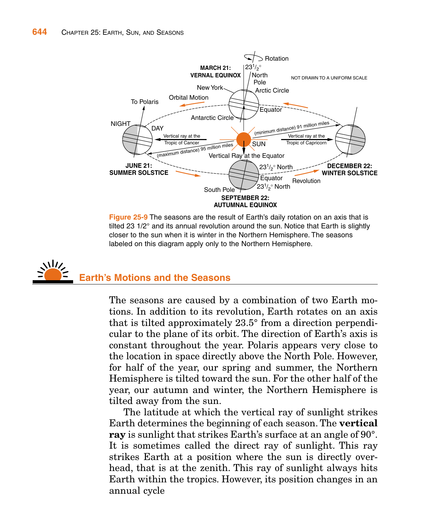

**Figure 25-9** The seasons are the result of Earth's daily rotation on an axis that is tilted 23  $1/2^\circ$  and its annual revolution around the sun. Notice that Earth is slightly closer to the sun when it is winter in the Northern Hemisphere. The seasons labeled on this diagram apply only to the Northern Hemisphere.



The seasons are caused by a combination of two Earth motions. In addition to its revolution, Earth rotates on an axis that is tilted approximately 23.5° from a direction perpendicular to the plane of its orbit. The direction of Earth's axis is constant throughout the year. Polaris appears very close to the location in space directly above the North Pole. However, for half of the year, our spring and summer, the Northern Hemisphere is tilted toward the sun. For the other half of the year, our autumn and winter, the Northern Hemisphere is tilted away from the sun.

The latitude at which the vertical ray of sunlight strikes Earth determines the beginning of each season. The **vertical ray** is sunlight that strikes Earth's surface at an angle of 90°. It is sometimes called the direct ray of sunlight. This ray strikes Earth at a position where the sun is directly overhead, that is at the zenith. This ray of sunlight always hits Earth within the tropics. However, its position changes in an annual cycle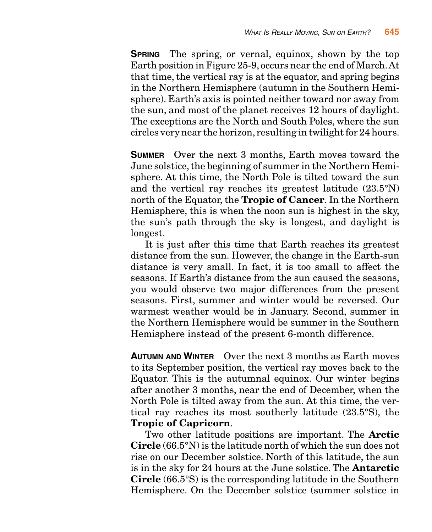**SPRING** The spring, or vernal, equinox, shown by the top Earth position in Figure 25-9, occurs near the end of March.At that time, the vertical ray is at the equator, and spring begins in the Northern Hemisphere (autumn in the Southern Hemisphere). Earth's axis is pointed neither toward nor away from the sun, and most of the planet receives 12 hours of daylight. The exceptions are the North and South Poles, where the sun circles very near the horizon, resulting in twilight for 24 hours.

**SUMMER** Over the next 3 months, Earth moves toward the June solstice, the beginning of summer in the Northern Hemisphere. At this time, the North Pole is tilted toward the sun and the vertical ray reaches its greatest latitude (23.5°N) north of the Equator, the **Tropic of Cancer**. In the Northern Hemisphere, this is when the noon sun is highest in the sky, the sun's path through the sky is longest, and daylight is longest.

It is just after this time that Earth reaches its greatest distance from the sun. However, the change in the Earth-sun distance is very small. In fact, it is too small to affect the seasons. If Earth's distance from the sun caused the seasons, you would observe two major differences from the present seasons. First, summer and winter would be reversed. Our warmest weather would be in January. Second, summer in the Northern Hemisphere would be summer in the Southern Hemisphere instead of the present 6-month difference.

**AUTUMN AND WINTER** Over the next 3 months as Earth moves to its September position, the vertical ray moves back to the Equator. This is the autumnal equinox. Our winter begins after another 3 months, near the end of December, when the North Pole is tilted away from the sun. At this time, the vertical ray reaches its most southerly latitude (23.5°S), the **Tropic of Capricorn**.

Two other latitude positions are important. The **Arctic Circle** (66.5°N) is the latitude north of which the sun does not rise on our December solstice. North of this latitude, the sun is in the sky for 24 hours at the June solstice. The **Antarctic Circle** (66.5°S) is the corresponding latitude in the Southern Hemisphere. On the December solstice (summer solstice in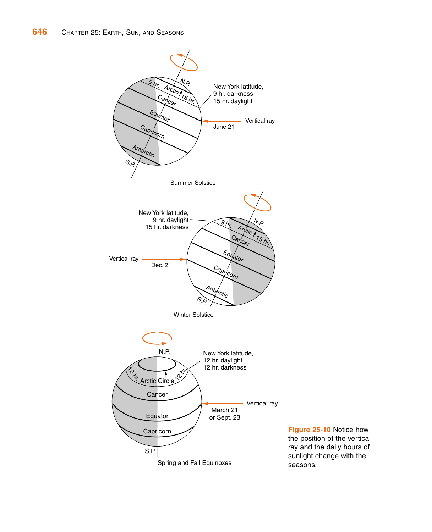

**Figure 25-10** Notice how the position of the vertical ray and the daily hours of sunlight change with the seasons.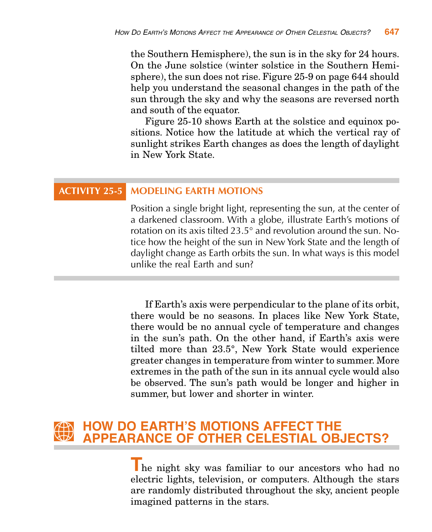the Southern Hemisphere), the sun is in the sky for 24 hours. On the June solstice (winter solstice in the Southern Hemisphere), the sun does not rise. Figure 25-9 on page 644 should help you understand the seasonal changes in the path of the sun through the sky and why the seasons are reversed north and south of the equator.

Figure 25-10 shows Earth at the solstice and equinox positions. Notice how the latitude at which the vertical ray of sunlight strikes Earth changes as does the length of daylight in New York State.

### **ACTIVITY 25-5 MODELING EARTH MOTIONS**

Position a single bright light, representing the sun, at the center of a darkened classroom. With a globe, illustrate Earth's motions of rotation on its axis tilted 23.5° and revolution around the sun. Notice how the height of the sun in New York State and the length of daylight change as Earth orbits the sun. In what ways is this model unlike the real Earth and sun?

If Earth's axis were perpendicular to the plane of its orbit, there would be no seasons. In places like New York State, there would be no annual cycle of temperature and changes in the sun's path. On the other hand, if Earth's axis were tilted more than 23.5°, New York State would experience greater changes in temperature from winter to summer. More extremes in the path of the sun in its annual cycle would also be observed. The sun's path would be longer and higher in summer, but lower and shorter in winter.

## **HOW DO EARTH'S MOTIONS AFFECT THE APPEARANCE OF OTHER CELESTIAL OBJECTS?**

**The night sky was familiar to our ancestors who had no** electric lights, television, or computers. Although the stars are randomly distributed throughout the sky, ancient people imagined patterns in the stars.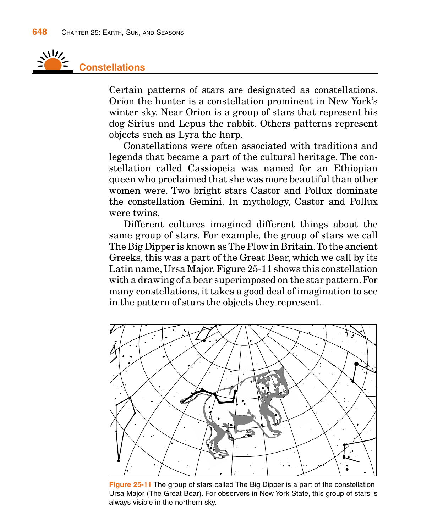

Certain patterns of stars are designated as constellations. Orion the hunter is a constellation prominent in New York's winter sky. Near Orion is a group of stars that represent his dog Sirius and Lepus the rabbit. Others patterns represent objects such as Lyra the harp.

Constellations were often associated with traditions and legends that became a part of the cultural heritage. The constellation called Cassiopeia was named for an Ethiopian queen who proclaimed that she was more beautiful than other women were. Two bright stars Castor and Pollux dominate the constellation Gemini. In mythology, Castor and Pollux were twins.

Different cultures imagined different things about the same group of stars. For example, the group of stars we call The Big Dipper is known as The Plow in Britain.To the ancient Greeks, this was a part of the Great Bear, which we call by its Latin name, Ursa Major. Figure 25-11 shows this constellation with a drawing of a bear superimposed on the star pattern. For many constellations, it takes a good deal of imagination to see in the pattern of stars the objects they represent.



**Figure 25-11** The group of stars called The Big Dipper is a part of the constellation Ursa Major (The Great Bear). For observers in New York State, this group of stars is always visible in the northern sky.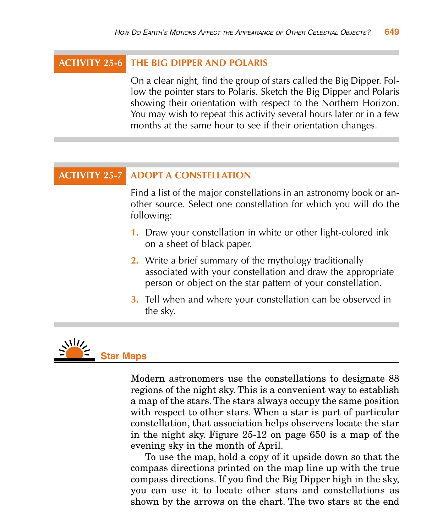## **ACTIVITY 25-6 THE BIG DIPPER AND POLARIS**

On a clear night, find the group of stars called the Big Dipper. Follow the pointer stars to Polaris. Sketch the Big Dipper and Polaris showing their orientation with respect to the Northern Horizon. You may wish to repeat this activity several hours later or in a few months at the same hour to see if their orientation changes.

### **ACTIVITY 25-7 ADOPT A CONSTELLATION**

Find a list of the major constellations in an astronomy book or another source. Select one constellation for which you will do the following:

- **1.** Draw your constellation in white or other light-colored ink on a sheet of black paper.
- **2.** Write a brief summary of the mythology traditionally associated with your constellation and draw the appropriate person or object on the star pattern of your constellation.
- **3.** Tell when and where your constellation can be observed in the sky.



Modern astronomers use the constellations to designate 88 regions of the night sky. This is a convenient way to establish a map of the stars. The stars always occupy the same position with respect to other stars. When a star is part of particular constellation, that association helps observers locate the star in the night sky. Figure 25-12 on page 650 is a map of the evening sky in the month of April.

To use the map, hold a copy of it upside down so that the compass directions printed on the map line up with the true compass directions. If you find the Big Dipper high in the sky, you can use it to locate other stars and constellations as shown by the arrows on the chart. The two stars at the end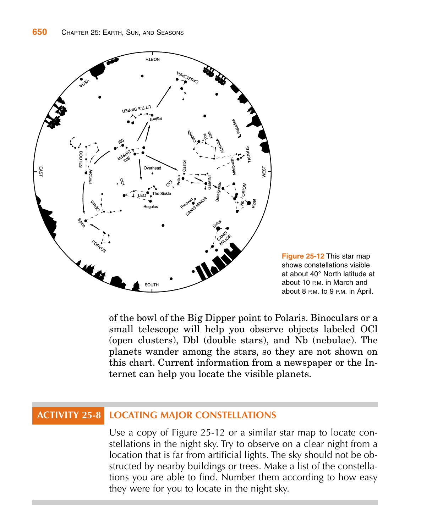



of the bowl of the Big Dipper point to Polaris. Binoculars or a small telescope will help you observe objects labeled OCl (open clusters), Dbl (double stars), and Nb (nebulae). The planets wander among the stars, so they are not shown on this chart. Current information from a newspaper or the Internet can help you locate the visible planets.

### **ACTIVITY 25-8 LOCATING MAJOR CONSTELLATIONS**

Use a copy of Figure 25-12 or a similar star map to locate constellations in the night sky. Try to observe on a clear night from a location that is far from artificial lights. The sky should not be obstructed by nearby buildings or trees. Make a list of the constellations you are able to find. Number them according to how easy they were for you to locate in the night sky.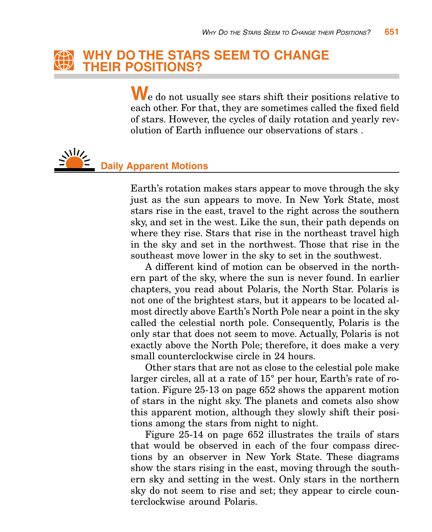## **WHY DO THE STARS SEEM TO CHANGE THEIR POSITIONS?**

**W**e do not usually see stars shift their positions relative to each other. For that, they are sometimes called the fixed field of stars. However, the cycles of daily rotation and yearly revolution of Earth influence our observations of stars .



Earth's rotation makes stars appear to move through the sky just as the sun appears to move. In New York State, most stars rise in the east, travel to the right across the southern sky, and set in the west. Like the sun, their path depends on where they rise. Stars that rise in the northeast travel high in the sky and set in the northwest. Those that rise in the southeast move lower in the sky to set in the southwest.

A different kind of motion can be observed in the northern part of the sky, where the sun is never found. In earlier chapters, you read about Polaris, the North Star. Polaris is not one of the brightest stars, but it appears to be located almost directly above Earth's North Pole near a point in the sky called the celestial north pole. Consequently, Polaris is the only star that does not seem to move. Actually, Polaris is not exactly above the North Pole; therefore, it does make a very small counterclockwise circle in 24 hours.

Other stars that are not as close to the celestial pole make larger circles, all at a rate of 15° per hour, Earth's rate of rotation. Figure 25-13 on page 652 shows the apparent motion of stars in the night sky. The planets and comets also show this apparent motion, although they slowly shift their positions among the stars from night to night.

Figure 25-14 on page 652 illustrates the trails of stars that would be observed in each of the four compass directions by an observer in New York State. These diagrams show the stars rising in the east, moving through the southern sky and setting in the west. Only stars in the northern sky do not seem to rise and set; they appear to circle counterclockwise around Polaris.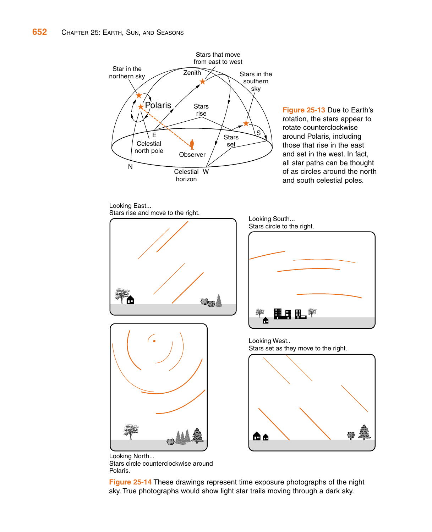

**Figure 25-13** Due to Earth's rotation, the stars appear to rotate counterclockwise around Polaris, including those that rise in the east and set in the west. In fact, all star paths can be thought of as circles around the north and south celestial poles.

Looking East... Stars rise and move to the right.



Stars circle counterclockwise around Polaris.

**Figure 25-14** These drawings represent time exposure photographs of the night sky. True photographs would show light star trails moving through a dark sky.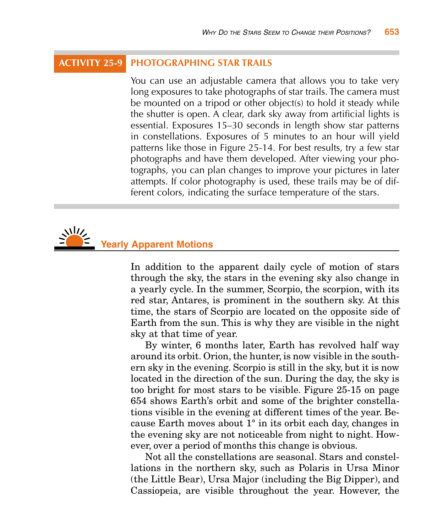### **ACTIVITY 25-9 PHOTOGRAPHING STAR TRAILS**

You can use an adjustable camera that allows you to take very long exposures to take photographs of star trails. The camera must be mounted on a tripod or other object(s) to hold it steady while the shutter is open. A clear, dark sky away from artificial lights is essential. Exposures 15–30 seconds in length show star patterns in constellations. Exposures of 5 minutes to an hour will yield patterns like those in Figure 25-14. For best results, try a few star photographs and have them developed. After viewing your photographs, you can plan changes to improve your pictures in later attempts. If color photography is used, these trails may be of different colors, indicating the surface temperature of the stars.

## $\frac{1}{2}$ **Yearly Apparent Motions**

In addition to the apparent daily cycle of motion of stars through the sky, the stars in the evening sky also change in a yearly cycle. In the summer, Scorpio, the scorpion, with its red star, Antares, is prominent in the southern sky. At this time, the stars of Scorpio are located on the opposite side of Earth from the sun. This is why they are visible in the night sky at that time of year.

By winter, 6 months later, Earth has revolved half way around its orbit. Orion, the hunter, is now visible in the southern sky in the evening. Scorpio is still in the sky, but it is now located in the direction of the sun. During the day, the sky is too bright for most stars to be visible. Figure 25-15 on page 654 shows Earth's orbit and some of the brighter constellations visible in the evening at different times of the year. Because Earth moves about 1° in its orbit each day, changes in the evening sky are not noticeable from night to night. However, over a period of months this change is obvious.

Not all the constellations are seasonal. Stars and constellations in the northern sky, such as Polaris in Ursa Minor (the Little Bear), Ursa Major (including the Big Dipper), and Cassiopeia, are visible throughout the year. However, the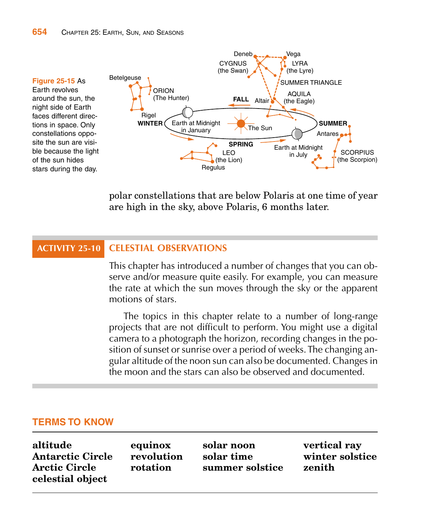

polar constellations that are below Polaris at one time of year are high in the sky, above Polaris, 6 months later.

### **ACTIVITY 25-10 CELESTIAL OBSERVATIONS**

This chapter has introduced a number of changes that you can observe and/or measure quite easily. For example, you can measure the rate at which the sun moves through the sky or the apparent motions of stars.

The topics in this chapter relate to a number of long-range projects that are not difficult to perform. You might use a digital camera to a photograph the horizon, recording changes in the position of sunset or sunrise over a period of weeks. The changing angular altitude of the noon sun can also be documented. Changes in the moon and the stars can also be observed and documented.

#### **TERMS TO KNOW**

**altitude equinox solar noon vertical ray Antarctic Circle revolution solar time winter solstice Arctic Circle rotation summer solstice zenith celestial object**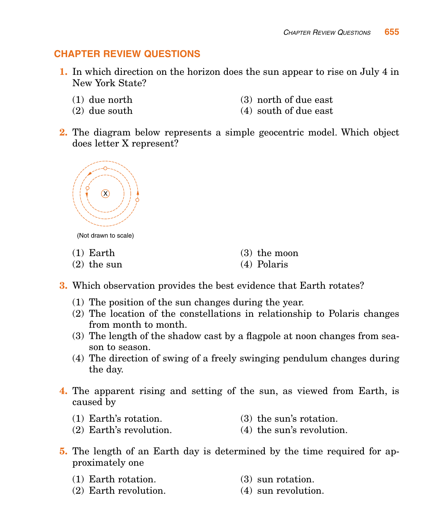## **CHAPTER REVIEW QUESTIONS**

- **1.** In which direction on the horizon does the sun appear to rise on July 4 in New York State?
	- (1) due north (3) north of due east
	- (2) due south (4) south of due east
- **2.** The diagram below represents a simple geocentric model. Which object does letter X represent?



(Not drawn to scale)

- 
- 
- $(1)$  Earth  $(3)$  the moon
- (2) the sun (4) Polaris
- **3.** Which observation provides the best evidence that Earth rotates?
	- (1) The position of the sun changes during the year.
	- (2) The location of the constellations in relationship to Polaris changes from month to month.
	- (3) The length of the shadow cast by a flagpole at noon changes from season to season.
	- (4) The direction of swing of a freely swinging pendulum changes during the day.
- **4.** The apparent rising and setting of the sun, as viewed from Earth, is caused by
	- (1) Earth's rotation. (3) the sun's rotation.
	- (2) Earth's revolution. (4) the sun's revolution.
- **5.** The length of an Earth day is determined by the time required for approximately one
	- (1) Earth rotation. (3) sun rotation.
	- (2) Earth revolution. (4) sun revolution.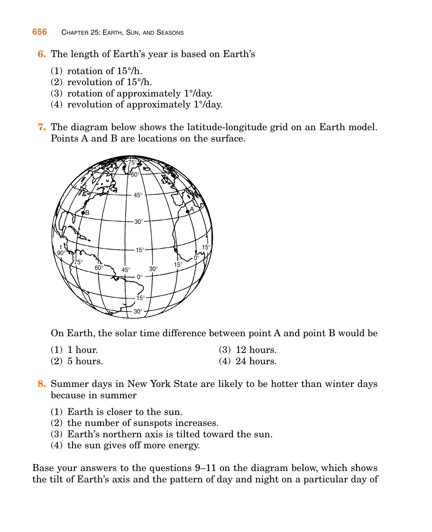- **6.** The length of Earth's year is based on Earth's
	- (1) rotation of 15°/h.
	- (2) revolution of 15°/h.
	- (3) rotation of approximately 1°/day.
	- (4) revolution of approximately 1°/day.
- **7.** The diagram below shows the latitude-longitude grid on an Earth model. Points A and B are locations on the surface.



On Earth, the solar time difference between point A and point B would be

- (1) 1 hour. (3) 12 hours.
- (2) 5 hours. (4) 24 hours.
- 
- **8.** Summer days in New York State are likely to be hotter than winter days because in summer
	- (1) Earth is closer to the sun.
	- (2) the number of sunspots increases.
	- (3) Earth's northern axis is tilted toward the sun.
	- (4) the sun gives off more energy.

Base your answers to the questions 9–11 on the diagram below, which shows the tilt of Earth's axis and the pattern of day and night on a particular day of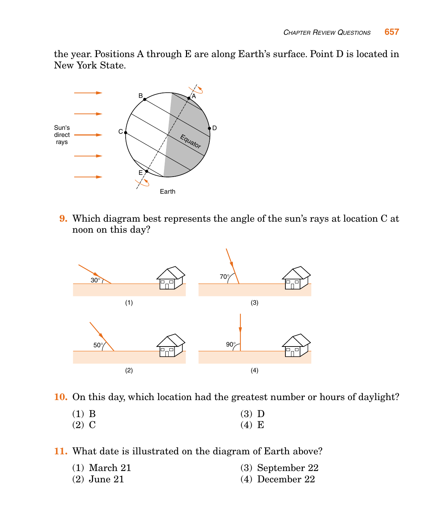the year. Positions A through E are along Earth's surface. Point D is located in New York State.



**9.** Which diagram best represents the angle of the sun's rays at location C at noon on this day?



**10.** On this day, which location had the greatest number or hours of daylight?

- (1) B (3) D (2) C (4) E
- **11.** What date is illustrated on the diagram of Earth above?
	- (1) March 21 (3) September 22<br>
	(2) June 21 (4) December 22  $(4)$  December 22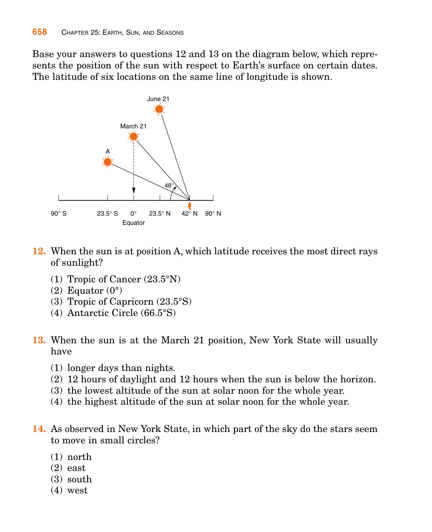Base your answers to questions 12 and 13 on the diagram below, which represents the position of the sun with respect to Earth's surface on certain dates. The latitude of six locations on the same line of longitude is shown.



- **12.** When the sun is at position A, which latitude receives the most direct rays of sunlight?
	- (1) Tropic of Cancer (23.5°N)
	- (2) Equator  $(0^{\circ})$
	- (3) Tropic of Capricorn (23.5°S)
	- (4) Antarctic Circle (66.5°S)
- **13.** When the sun is at the March 21 position, New York State will usually have
	- (1) longer days than nights.
	- (2) 12 hours of daylight and 12 hours when the sun is below the horizon.
	- (3) the lowest altitude of the sun at solar noon for the whole year.
	- (4) the highest altitude of the sun at solar noon for the whole year.
- **14.** As observed in New York State, in which part of the sky do the stars seem to move in small circles?
	- (1) north
	- (2) east
	- (3) south
	- (4) west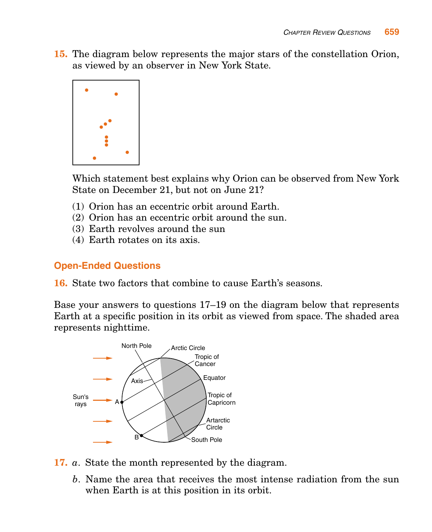**15.** The diagram below represents the major stars of the constellation Orion, as viewed by an observer in New York State.



Which statement best explains why Orion can be observed from New York State on December 21, but not on June 21?

- (1) Orion has an eccentric orbit around Earth.
- (2) Orion has an eccentric orbit around the sun.
- (3) Earth revolves around the sun
- (4) Earth rotates on its axis.

## **Open-Ended Questions**

**16.** State two factors that combine to cause Earth's seasons.

Base your answers to questions 17–19 on the diagram below that represents Earth at a specific position in its orbit as viewed from space. The shaded area represents nighttime.



- **17.** *a*. State the month represented by the diagram.
	- *b*. Name the area that receives the most intense radiation from the sun when Earth is at this position in its orbit.